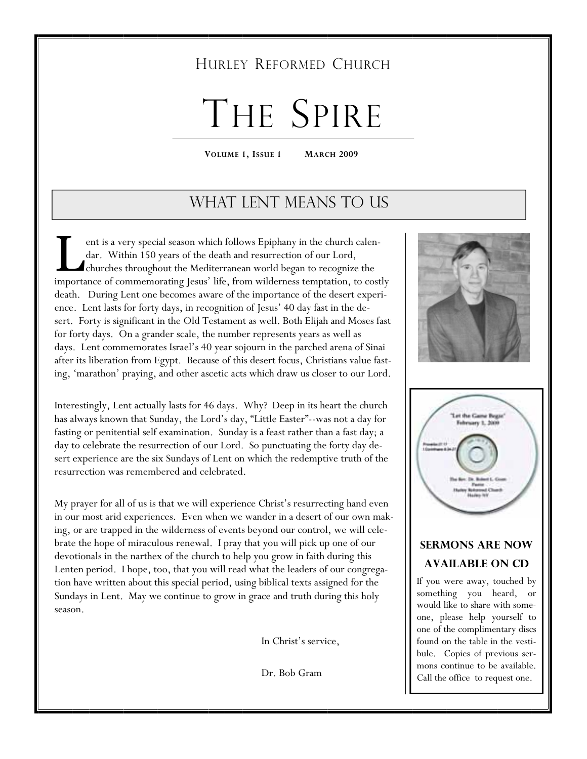## HURLEY REFORMED CHURCH

# THE SPIRE

**VOLUME 1, ISSUE 1 MARCH 2009** 

## WHAT LENT MEANS TO US

Let us a very special season which follows Epiphany in the church calen-<br>dar. Within 150 years of the death and resurrection of our Lord,<br>churches throughout the Mediterranean world began to recognize the<br>importance of rep dar. Within 150 years of the death and resurrection of our Lord, importance of commemorating Jesus' life, from wilderness temptation, to costly death. During Lent one becomes aware of the importance of the desert experience. Lent lasts for forty days, in recognition of Jesus' 40 day fast in the desert. Forty is significant in the Old Testament as well. Both Elijah and Moses fast for forty days. On a grander scale, the number represents years as well as days. Lent commemorates Israel's 40 year sojourn in the parched arena of Sinai after its liberation from Egypt. Because of this desert focus, Christians value fasting, 'marathon' praying, and other ascetic acts which draw us closer to our Lord.

Interestingly, Lent actually lasts for 46 days. Why? Deep in its heart the church has always known that Sunday, the Lord's day, "Little Easter"--was not a day for fasting or penitential self examination. Sunday is a feast rather than a fast day; a day to celebrate the resurrection of our Lord. So punctuating the forty day desert experience are the six Sundays of Lent on which the redemptive truth of the resurrection was remembered and celebrated.

My prayer for all of us is that we will experience Christ's resurrecting hand even in our most arid experiences. Even when we wander in a desert of our own making, or are trapped in the wilderness of events beyond our control, we will celebrate the hope of miraculous renewal. I pray that you will pick up one of our devotionals in the narthex of the church to help you grow in faith during this Lenten period. I hope, too, that you will read what the leaders of our congregation have written about this special period, using biblical texts assigned for the Sundays in Lent. May we continue to grow in grace and truth during this holy season.

In Christ's service,

Dr. Bob Gram





# **Available on cd**

If you were away, touched by something you heard, or would like to share with someone, please help yourself to one of the complimentary discs found on the table in the vestibule. Copies of previous sermons continue to be available. Call the office to request one.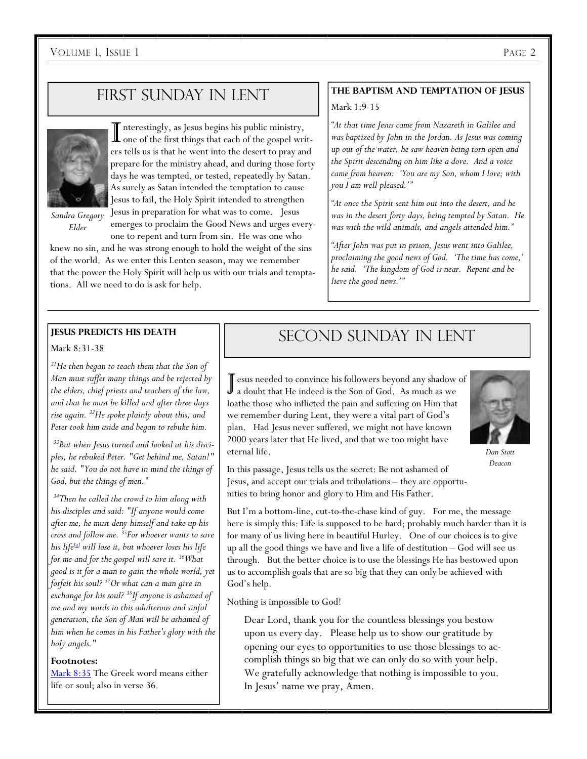### VOLUME 1, ISSUE 1 PAGE 2

## First Sunday in Lent



*Sandra Gregory Elder* 

I nterestingly, as Jesus begins his public ministry,  $\perp$  one of the first things that each of the gospel writers tells us is that he went into the desert to pray and prepare for the ministry ahead, and during those forty days he was tempted, or tested, repeatedly by Satan. As surely as Satan intended the temptation to cause Jesus to fail, the Holy Spirit intended to strengthen Jesus in preparation for what was to come. Jesus emerges to proclaim the Good News and urges everyone to repent and turn from sin. He was one who

knew no sin, and he was strong enough to hold the weight of the sins of the world. As we enter this Lenten season, may we remember that the power the Holy Spirit will help us with our trials and temptations. All we need to do is ask for help.

## **The Baptism and temptation of jesus**

### Mark 1:9-15

*"At that time Jesus came from Nazareth in Galilee and was baptized by John in the Jordan. As Jesus was coming up out of the water, he saw heaven being torn open and the Spirit descending on him like a dove. And a voice came from heaven: 'You are my Son, whom I love; with you I am well pleased.'"* 

*"At once the Spirit sent him out into the desert, and he was in the desert forty days, being tempted by Satan. He was with the wild animals, and angels attended him."* 

*"After John was put in prison, Jesus went into Galilee, proclaiming the good news of God. 'The time has come,' he said. 'The kingdom of God is near. Repent and believe the good news.'"* 

### *JESUS PREDICTS HIS DEATH*

### Mark 8:31-38

*31He then began to teach them that the Son of Man must suffer many things and be rejected by the elders, chief priests and teachers of the law, and that he must be killed and after three days rise again. 32He spoke plainly about this, and Peter took him aside and began to rebuke him.* 

*33But when Jesus turned and looked at his disciples, he rebuked Peter. "Get behind me, Satan!" he said. "You do not have in mind the things of God, but the things of men."* 

*34Then he called the crowd to him along with his disciples and said: "If anyone would come after me, he must deny himself and take up his cross and follow me. 35For whoever wants to save his life[a] will lose it, but whoever loses his life for me and for the gospel will save it. 36What good is it for a man to gain the whole world, yet forfeit his soul? 37Or what can a man give in exchange for his soul? 38If anyone is ashamed of me and my words in this adulterous and sinful generation, the Son of Man will be ashamed of him when he comes in his Father's glory with the holy angels."* 

### **Footnotes:**

Mark 8:35 The Greek word means either life or soul; also in verse 36.

## Second Sunday in lent

J esus needed to convince his followers beyond any shadow of a doubt that He indeed is the Son of God. As much as we loathe those who inflicted the pain and suffering on Him that we remember during Lent, they were a vital part of God's plan. Had Jesus never suffered, we might not have known 2000 years later that He lived, and that we too might have eternal life.



*Dan Stott Deacon* 

In this passage, Jesus tells us the secret: Be not ashamed of Jesus, and accept our trials and tribulations – they are opportunities to bring honor and glory to Him and His Father.

But I'm a bottom-line, cut-to-the-chase kind of guy. For me, the message here is simply this: Life is supposed to be hard; probably much harder than it is for many of us living here in beautiful Hurley. One of our choices is to give up all the good things we have and live a life of destitution – God will see us through. But the better choice is to use the blessings He has bestowed upon us to accomplish goals that are so big that they can only be achieved with God's help.

Nothing is impossible to God!

Dear Lord, thank you for the countless blessings you bestow upon us every day. Please help us to show our gratitude by opening our eyes to opportunities to use those blessings to accomplish things so big that we can only do so with your help. We gratefully acknowledge that nothing is impossible to you. In Jesus' name we pray, Amen.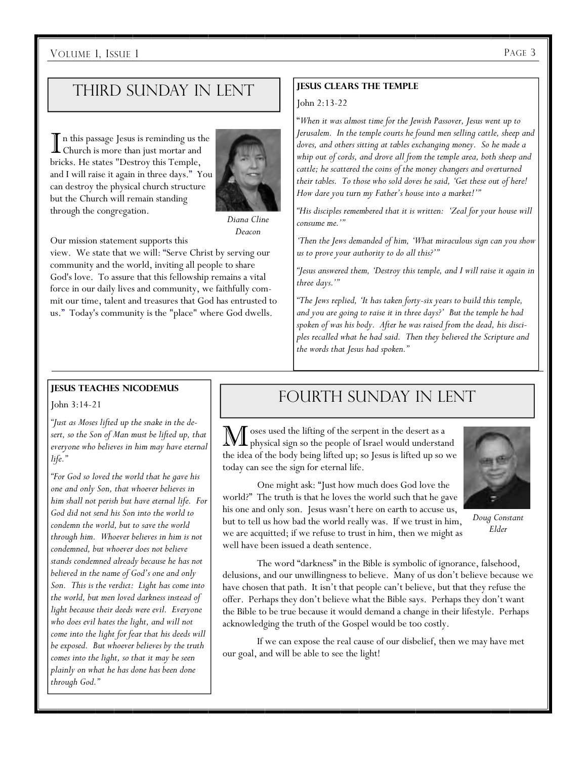### VOLUME 1, ISSUE 1 PAGE 3

## third Sunday in Lent **Jesus clears the temple**

I n this passage Jesus is reminding us the Church is more than just mortar and bricks. He states "Destroy this Temple, and I will raise it again in three days." You can destroy the physical church structure but the Church will remain standing through the congregation.



*Diana Cline Deacon* 

Our mission statement supports this

view. We state that we will: "Serve Christ by serving our community and the world, inviting all people to share God's love. To assure that this fellowship remains a vital force in our daily lives and community, we faithfully commit our time, talent and treasures that God has entrusted to us." Today's community is the "place" where God dwells.

### John 2:13-22

"*When it was almost time for the Jewish Passover, Jesus went up to Jerusalem. In the temple courts he found men selling cattle, sheep and doves, and others sitting at tables exchanging money. So he made a whip out of cords, and drove all from the temple area, both sheep and*  cattle; he scattered the coins of the money changers and overturned *their tables. To those who sold doves he said, 'Get these out of here! How dare you turn my Father's house into a market!'"* 

*"His disciples remembered that it is written: 'Zeal for your house will consume me.'"* 

*'Then the Jews demanded of him, 'What miraculous sign can you show us to prove your authority to do all this?'"* 

*"Jesus answered them, 'Destroy this temple, and I will raise it again in three days.'"* 

*"The Jews replied, 'It has taken forty-six years to build this temple, and you are going to raise it in three days?' But the temple he had spoken of was his body. After he was raised from the dead, his disciples recalled what he had said. Then they believed the Scripture and the words that Jesus had spoken."* 

John 3:14-21

*"Just as Moses lifted up the snake in the desert, so the Son of Man must be lifted up, that everyone who believes in him may have eternal life."* 

*"For God so loved the world that he gave his one and only Son, that whoever believes in him shall not perish but have eternal life. For God did not send his Son into the world to condemn the world, but to save the world through him. Whoever believes in him is not condemned, but whoever does not believe stands condemned already because he has not believed in the name of God's one and only Son. This is the verdict: Light has come into the world, but men loved darkness instead of light because their deeds were evil. Everyone who does evil hates the light, and will not come into the light for fear that his deeds will be exposed. But whoever believes by the truth comes into the light, so that it may be seen plainly on what he has done has been done through God."* 

## JESUS TEACHES NICODEMUS **IN LENT HE LESS TEACHES NICODEMUS**

oses used the lifting of the serpent in the desert as a physical sign so the people of Israel would understand the idea of the body being lifted up; so Jesus is lifted up so we today can see the sign for eternal life.



 One might ask: "Just how much does God love the world?" The truth is that he loves the world such that he gave his one and only son. Jesus wasn't here on earth to accuse us, but to tell us how bad the world really was. If we trust in him, we are acquitted; if we refuse to trust in him, then we might as well have been issued a death sentence.

*Doug Constant Elder* 

 The word "darkness" in the Bible is symbolic of ignorance, falsehood, delusions, and our unwillingness to believe. Many of us don't believe because we have chosen that path. It isn't that people can't believe, but that they refuse the offer. Perhaps they don't believe what the Bible says. Perhaps they don't want the Bible to be true because it would demand a change in their lifestyle. Perhaps acknowledging the truth of the Gospel would be too costly.

 If we can expose the real cause of our disbelief, then we may have met our goal, and will be able to see the light!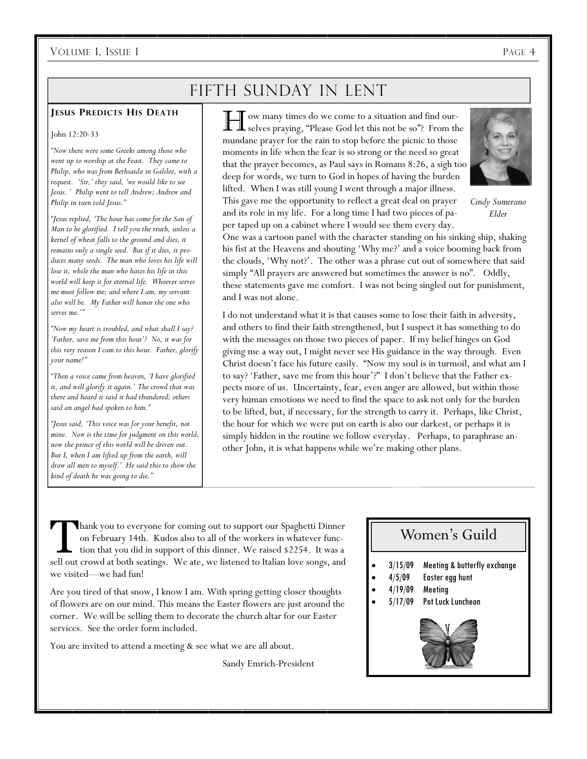## FIFTH SUNDAY IN LENT

### **JESUS PREDICTS HIS DEATH**

### John 12:20-33

*"Now there were some Greeks among those who went up to worship at the Feast. They came to Philip, who was from Bethsaida in Galilee, with a request. 'Sir,' they said, 'we would like to see Jesus. ' Philip went to tell Andrew; Andrew and Philip in turn told Jesus."* 

*"Jesus replied, 'The hour has come for the Son of Man to be glorified. I tell you the truth, unless a kernel of wheat falls to the ground and dies, it remains only a single seed. But if it dies, it produces many seeds. The man who loves his life will lose it, while the man who hates his life in this world will keep it for eternal life. Whoever serves me must follow me; and where I am, my servant also will be. My Father will honor the one who serves me.'"* 

*"Now my heart is troubled, and what shall I say? 'Father, save me from this hour'? No, it was for this very reason I cam to this hour. Father, glorify your name!"* 

*"Then a voice came from heaven, 'I have glorified it, and will glorify it again.' The crowd that was there and heard it said it had thundered; others said an angel had spoken to him."* 

*"Jesus said, 'This voice was for your benefit, not mine. Now is the time for judgment on this world; now the prince of this world will be driven out. But I, when I am lifted up from the earth, will draw all men to myself.' He said this to show the kind of death he was going to die."* 

H ow many times do we come to a situation and find our-selves praying, "Please God let this not be so"? From the mundane prayer for the rain to stop before the picnic to those moments in life when the fear is so strong or the need so great that the prayer becomes, as Paul says in Romans 8:26, a sigh too deep for words, we turn to God in hopes of having the burden lifted. When I was still young I went through a major illness. This gave me the opportunity to reflect a great deal on prayer and its role in my life. For a long time I had two pieces of paper taped up on a cabinet where I would see them every day.



*Cindy Sumerano Elder* 

One was a cartoon panel with the character standing on his sinking ship, shaking his fist at the Heavens and shouting 'Why me?' and a voice booming back from the clouds, 'Why not?'. The other was a phrase cut out of somewhere that said simply "All prayers are answered but sometimes the answer is no". Oddly, these statements gave me comfort. I was not being singled out for punishment, and I was not alone.

I do not understand what it is that causes some to lose their faith in adversity, and others to find their faith strengthened, but I suspect it has something to do with the messages on those two pieces of paper. If my belief hinges on God giving me a way out, I might never see His guidance in the way through. Even Christ doesn't face his future easily. "Now my soul is in turmoil, and what am I to say? 'Father, save me from this hour'?" I don't believe that the Father expects more of us. Uncertainty, fear, even anger are allowed, but within those very human emotions we need to find the space to ask not only for the burden to be lifted, but, if necessary, for the strength to carry it. Perhaps, like Christ, the hour for which we were put on earth is also our darkest, or perhaps it is simply hidden in the routine we follow everyday. Perhaps, to paraphrase another John, it is what happens while we're making other plans.

Thank you to everyone for coming out to support our Spaghetti Dinner on February 14th. Kudos also to all of the workers in whatever function that you did in support of this dinner. We raised \$2254. It was a sell out crowd at both seatings. We ate, we listened to Italian love songs, and we visited—we had fun!

Are you tired of that snow, I know I am. With spring getting closer thoughts of flowers are on our mind. This means the Easter flowers are just around the corner. We will be selling them to decorate the church altar for our Easter services. See the order form included.

You are invited to attend a meeting & see what we are all about.

Sandy Emrich-President

## Women's Guild

• 3/15/09 Meeting & butterfly exchange

- 4/5/09 Easter egg hunt
- 4/19/09 Meeting
- 5/17/09 Pot Luck Luncheon

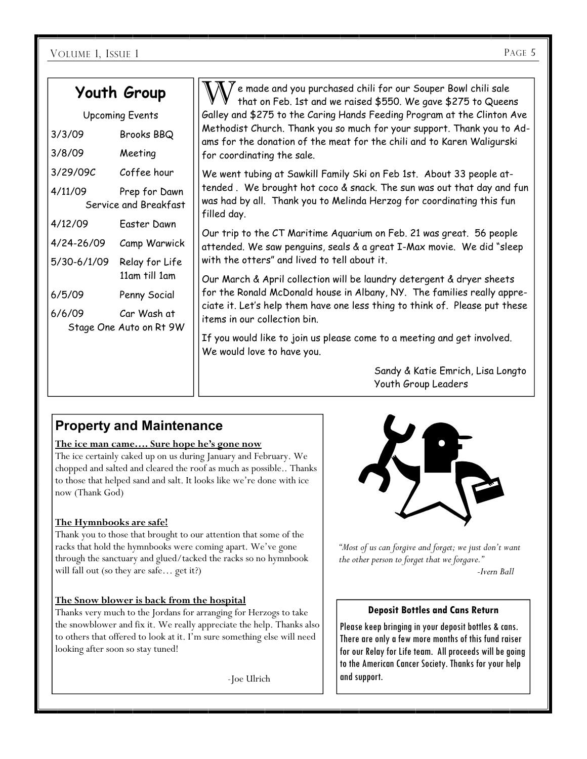VOLUME 1, ISSUE 1

### PAGE 5

## **Youth Group**

| Youth Group            |                                        |  |  |  |  |  |
|------------------------|----------------------------------------|--|--|--|--|--|
| <b>Upcoming Events</b> |                                        |  |  |  |  |  |
| 3/3/09                 | Brooks BBQ                             |  |  |  |  |  |
| 3/8/09                 | Meeting                                |  |  |  |  |  |
| 3/29/09C               | Coffee hour                            |  |  |  |  |  |
| 4/11/09                | Prep for Dawn<br>Service and Breakfast |  |  |  |  |  |
| 4/12/09                | Easter Dawn                            |  |  |  |  |  |
| 4/24-26/09             | Camp Warwick                           |  |  |  |  |  |
| 5/30-6/1/09            | Relay for Life<br>11am till 1am        |  |  |  |  |  |
| 6/5/09                 | Penny Social                           |  |  |  |  |  |
| 6/6/09                 | Car Wash at<br>Stage One Auto on Rt 9W |  |  |  |  |  |

e made and you purchased chili for our Souper Bowl chili sale that on Feb. 1st and we raised \$550. We gave \$275 to Queens Galley and \$275 to the Caring Hands Feeding Program at the Clinton Ave Methodist Church. Thank you so much for your support. Thank you to Adams for the donation of the meat for the chili and to Karen Waligurski for coordinating the sale.

We went tubing at Sawkill Family Ski on Feb 1st. About 33 people attended . We brought hot coco & snack. The sun was out that day and fun was had by all. Thank you to Melinda Herzog for coordinating this fun filled day.

Our trip to the CT Maritime Aquarium on Feb. 21 was great. 56 people attended. We saw penguins, seals & a great I-Max movie. We did "sleep with the otters" and lived to tell about it.

Our March & April collection will be laundry detergent & dryer sheets for the Ronald McDonald house in Albany, NY. The families really appreciate it. Let's help them have one less thing to think of. Please put these items in our collection bin.

If you would like to join us please come to a meeting and get involved. We would love to have you.

> Sandy & Katie Emrich, Lisa Longto Youth Group Leaders

## **Property and Maintenance**

## **The ice man came…. Sure hope he's gone now**

The ice certainly caked up on us during January and February. We chopped and salted and cleared the roof as much as possible.. Thanks to those that helped sand and salt. It looks like we're done with ice now (Thank God)

## **The Hymnbooks are safe!**

Thank you to those that brought to our attention that some of the racks that hold the hymnbooks were coming apart. We've gone through the sanctuary and glued/tacked the racks so no hymnbook will fall out (so they are safe… get it?)

## **The Snow blower is back from the hospital**

Thanks very much to the Jordans for arranging for Herzogs to take the snowblower and fix it. We really appreciate the help. Thanks also to others that offered to look at it. I'm sure something else will need looking after soon so stay tuned!

-Joe Ulrich



*"Most of us can forgive and forget; we just don't want the other person to forget that we forgave." -Ivern Ball* 

### **Deposit Bottles and Cans Return**

Please keep bringing in your deposit bottles & cans. There are only a few more months of this fund raiser for our Relay for Life team. All proceeds will be going to the American Cancer Society. Thanks for your help and support.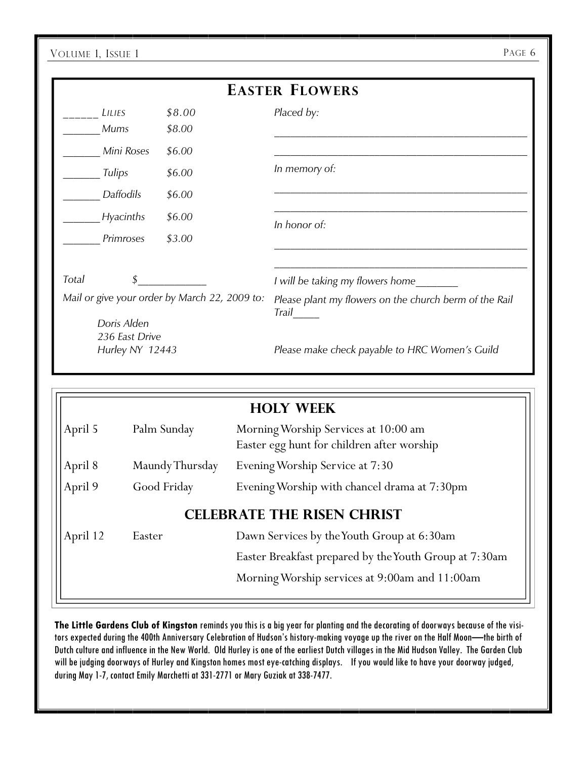VOLUME 1, ISSUE 1

| <b>EASTER FLOWERS</b>                         |                  |        |                                                                 |  |  |  |  |
|-----------------------------------------------|------------------|--------|-----------------------------------------------------------------|--|--|--|--|
|                                               | LILIES           | \$8.00 | Placed by:                                                      |  |  |  |  |
|                                               | Mums             | \$8.00 |                                                                 |  |  |  |  |
|                                               | Mini Roses       | \$6.00 |                                                                 |  |  |  |  |
|                                               | Tulips           | \$6.00 | In memory of:                                                   |  |  |  |  |
|                                               | Daffodils        | \$6.00 |                                                                 |  |  |  |  |
|                                               | <b>Hyacinths</b> | \$6.00 | In honor of:                                                    |  |  |  |  |
|                                               | Primroses        | \$3.00 |                                                                 |  |  |  |  |
|                                               |                  |        |                                                                 |  |  |  |  |
| Total                                         | \$               |        | I will be taking my flowers home_______                         |  |  |  |  |
| Mail or give your order by March 22, 2009 to: |                  |        | Please plant my flowers on the church berm of the Rail<br>Trail |  |  |  |  |
| Doris Alden                                   |                  |        |                                                                 |  |  |  |  |
| 236 East Drive                                |                  |        |                                                                 |  |  |  |  |
| Hurley NY 12443                               |                  |        | Please make check payable to HRC Women's Guild                  |  |  |  |  |

| <b>HOLY WEEK</b>                  |                 |                                                                                    |  |  |  |
|-----------------------------------|-----------------|------------------------------------------------------------------------------------|--|--|--|
| April 5                           | Palm Sunday     | Morning Worship Services at 10:00 am<br>Easter egg hunt for children after worship |  |  |  |
| April 8                           | Maundy Thursday | Evening Worship Service at 7:30                                                    |  |  |  |
| April 9                           | Good Friday     | Evening Worship with chancel drama at 7:30pm                                       |  |  |  |
| <b>CELEBRATE THE RISEN CHRIST</b> |                 |                                                                                    |  |  |  |
| April 12                          | Easter          | Dawn Services by the Youth Group at 6:30am                                         |  |  |  |
|                                   |                 | Easter Breakfast prepared by the Youth Group at 7:30am                             |  |  |  |
|                                   |                 | Morning Worship services at 9:00am and 11:00am                                     |  |  |  |

**The Little Gardens Club of Kingston** reminds you this is a big year for planting and the decorating of doorways because of the visitors expected during the 400th Anniversary Celebration of Hudson's history-making voyage up the river on the Half Moon—the birth of Dutch culture and influence in the New World. Old Hurley is one of the earliest Dutch villages in the Mid Hudson Valley. The Garden Club will be judging doorways of Hurley and Kingston homes most eye-catching displays. If you would like to have your doorway judged, during May 1-7, contact Emily Marchetti at 331-2771 or Mary Guziak at 338-7477.